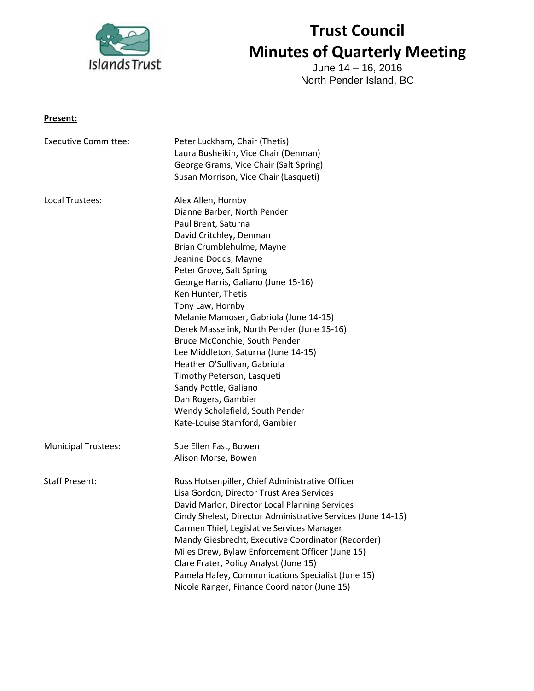

# **Trust Council Minutes of Quarterly Meeting**

June 14 – 16, 2016 North Pender Island, BC

#### **Present:**

| <b>Executive Committee:</b> | Peter Luckham, Chair (Thetis)                                |
|-----------------------------|--------------------------------------------------------------|
|                             | Laura Busheikin, Vice Chair (Denman)                         |
|                             | George Grams, Vice Chair (Salt Spring)                       |
|                             | Susan Morrison, Vice Chair (Lasqueti)                        |
| Local Trustees:             | Alex Allen, Hornby                                           |
|                             | Dianne Barber, North Pender                                  |
|                             | Paul Brent, Saturna                                          |
|                             | David Critchley, Denman                                      |
|                             | Brian Crumblehulme, Mayne                                    |
|                             | Jeanine Dodds, Mayne                                         |
|                             | Peter Grove, Salt Spring                                     |
|                             | George Harris, Galiano (June 15-16)                          |
|                             | Ken Hunter, Thetis                                           |
|                             | Tony Law, Hornby                                             |
|                             | Melanie Mamoser, Gabriola (June 14-15)                       |
|                             | Derek Masselink, North Pender (June 15-16)                   |
|                             | Bruce McConchie, South Pender                                |
|                             | Lee Middleton, Saturna (June 14-15)                          |
|                             | Heather O'Sullivan, Gabriola                                 |
|                             | Timothy Peterson, Lasqueti                                   |
|                             | Sandy Pottle, Galiano                                        |
|                             | Dan Rogers, Gambier                                          |
|                             | Wendy Scholefield, South Pender                              |
|                             | Kate-Louise Stamford, Gambier                                |
| <b>Municipal Trustees:</b>  | Sue Ellen Fast, Bowen                                        |
|                             | Alison Morse, Bowen                                          |
| <b>Staff Present:</b>       | Russ Hotsenpiller, Chief Administrative Officer              |
|                             | Lisa Gordon, Director Trust Area Services                    |
|                             | David Marlor, Director Local Planning Services               |
|                             | Cindy Shelest, Director Administrative Services (June 14-15) |
|                             | Carmen Thiel, Legislative Services Manager                   |
|                             | Mandy Giesbrecht, Executive Coordinator (Recorder)           |
|                             | Miles Drew, Bylaw Enforcement Officer (June 15)              |
|                             | Clare Frater, Policy Analyst (June 15)                       |
|                             | Pamela Hafey, Communications Specialist (June 15)            |
|                             | Nicole Ranger, Finance Coordinator (June 15)                 |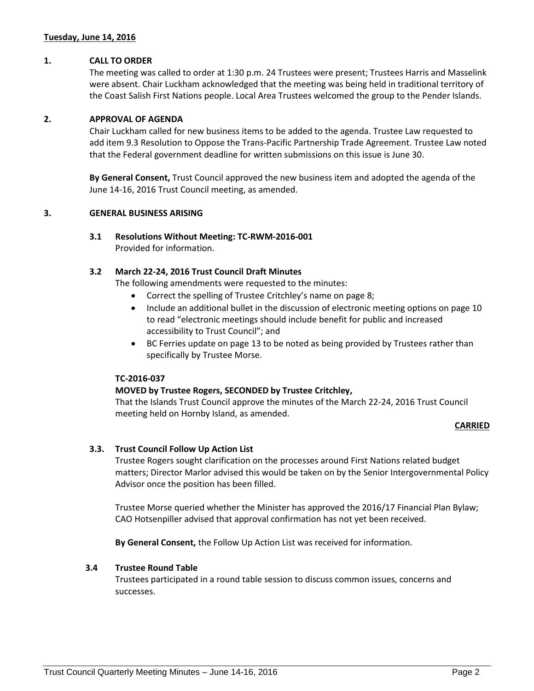#### **Tuesday, June 14, 2016**

#### **1. CALL TO ORDER**

The meeting was called to order at 1:30 p.m. 24 Trustees were present; Trustees Harris and Masselink were absent. Chair Luckham acknowledged that the meeting was being held in traditional territory of the Coast Salish First Nations people. Local Area Trustees welcomed the group to the Pender Islands.

#### **2. APPROVAL OF AGENDA**

Chair Luckham called for new business items to be added to the agenda. Trustee Law requested to add item 9.3 Resolution to Oppose the Trans-Pacific Partnership Trade Agreement. Trustee Law noted that the Federal government deadline for written submissions on this issue is June 30.

**By General Consent,** Trust Council approved the new business item and adopted the agenda of the June 14-16, 2016 Trust Council meeting, as amended.

#### **3. GENERAL BUSINESS ARISING**

#### **3.1 Resolutions Without Meeting: TC-RWM-2016-001**

Provided for information.

#### **3.2 March 22-24, 2016 Trust Council Draft Minutes**

The following amendments were requested to the minutes:

- Correct the spelling of Trustee Critchley's name on page 8;
- Include an additional bullet in the discussion of electronic meeting options on page 10 to read "electronic meetings should include benefit for public and increased accessibility to Trust Council"; and
- BC Ferries update on page 13 to be noted as being provided by Trustees rather than specifically by Trustee Morse.

#### **TC-2016-037**

#### **MOVED by Trustee Rogers, SECONDED by Trustee Critchley,**

That the Islands Trust Council approve the minutes of the March 22-24, 2016 Trust Council meeting held on Hornby Island, as amended.

#### **CARRIED**

#### **3.3. Trust Council Follow Up Action List**

Trustee Rogers sought clarification on the processes around First Nations related budget matters; Director Marlor advised this would be taken on by the Senior Intergovernmental Policy Advisor once the position has been filled.

Trustee Morse queried whether the Minister has approved the 2016/17 Financial Plan Bylaw; CAO Hotsenpiller advised that approval confirmation has not yet been received.

**By General Consent,** the Follow Up Action List was received for information.

#### **3.4 Trustee Round Table**

Trustees participated in a round table session to discuss common issues, concerns and successes.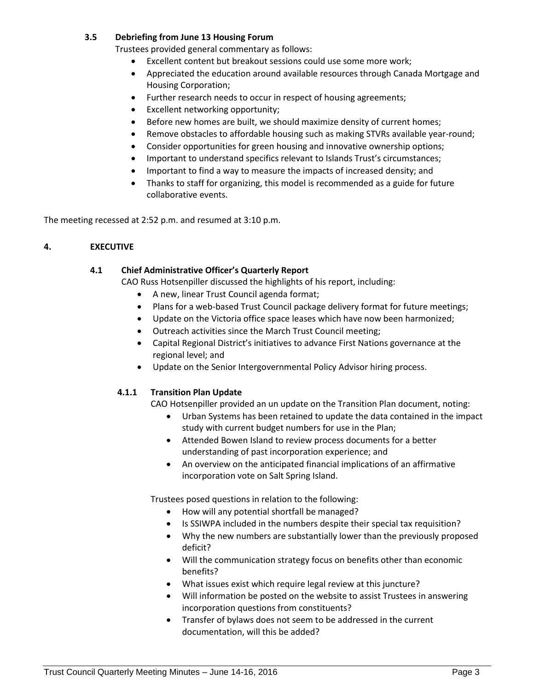## **3.5 Debriefing from June 13 Housing Forum**

Trustees provided general commentary as follows:

- Excellent content but breakout sessions could use some more work;
- Appreciated the education around available resources through Canada Mortgage and Housing Corporation;
- Further research needs to occur in respect of housing agreements;
- Excellent networking opportunity;
- Before new homes are built, we should maximize density of current homes;
- Remove obstacles to affordable housing such as making STVRs available year-round;
- Consider opportunities for green housing and innovative ownership options;
- Important to understand specifics relevant to Islands Trust's circumstances;
- Important to find a way to measure the impacts of increased density; and
- Thanks to staff for organizing, this model is recommended as a guide for future collaborative events.

The meeting recessed at 2:52 p.m. and resumed at 3:10 p.m.

## **4. EXECUTIVE**

## **4.1 Chief Administrative Officer's Quarterly Report**

CAO Russ Hotsenpiller discussed the highlights of his report, including:

- A new, linear Trust Council agenda format;
- Plans for a web-based Trust Council package delivery format for future meetings;
- Update on the Victoria office space leases which have now been harmonized;
- Outreach activities since the March Trust Council meeting;
- Capital Regional District's initiatives to advance First Nations governance at the regional level; and
- Update on the Senior Intergovernmental Policy Advisor hiring process.

#### **4.1.1 Transition Plan Update**

CAO Hotsenpiller provided an un update on the Transition Plan document, noting:

- Urban Systems has been retained to update the data contained in the impact study with current budget numbers for use in the Plan;
- Attended Bowen Island to review process documents for a better understanding of past incorporation experience; and
- An overview on the anticipated financial implications of an affirmative incorporation vote on Salt Spring Island.

Trustees posed questions in relation to the following:

- How will any potential shortfall be managed?
- Is SSIWPA included in the numbers despite their special tax requisition?
- Why the new numbers are substantially lower than the previously proposed deficit?
- Will the communication strategy focus on benefits other than economic benefits?
- What issues exist which require legal review at this juncture?
- Will information be posted on the website to assist Trustees in answering incorporation questions from constituents?
- Transfer of bylaws does not seem to be addressed in the current documentation, will this be added?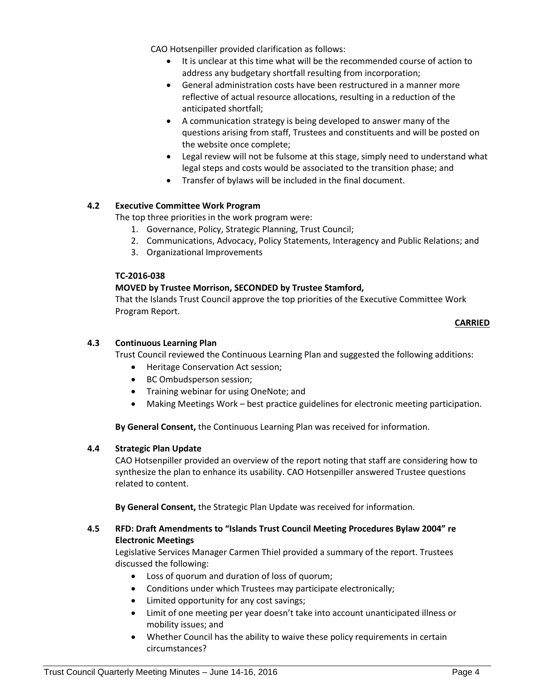CAO Hotsenpiller provided clarification as follows:

- It is unclear at this time what will be the recommended course of action to address any budgetary shortfall resulting from incorporation;
- General administration costs have been restructured in a manner more reflective of actual resource allocations, resulting in a reduction of the anticipated shortfall;
- A communication strategy is being developed to answer many of the questions arising from staff, Trustees and constituents and will be posted on the website once complete;
- Legal review will not be fulsome at this stage, simply need to understand what legal steps and costs would be associated to the transition phase; and
- Transfer of bylaws will be included in the final document.

## **4.2 Executive Committee Work Program**

The top three priorities in the work program were:

- 1. Governance, Policy, Strategic Planning, Trust Council;
- 2. Communications, Advocacy, Policy Statements, Interagency and Public Relations; and
- 3. Organizational Improvements

## **TC-2016-038**

## **MOVED by Trustee Morrison, SECONDED by Trustee Stamford,**

That the Islands Trust Council approve the top priorities of the Executive Committee Work Program Report.

#### **CARRIED**

## **4.3 Continuous Learning Plan**

Trust Council reviewed the Continuous Learning Plan and suggested the following additions:

- Heritage Conservation Act session;
- BC Ombudsperson session;
- Training webinar for using OneNote; and
- Making Meetings Work best practice guidelines for electronic meeting participation.

**By General Consent,** the Continuous Learning Plan was received for information.

## **4.4 Strategic Plan Update**

CAO Hotsenpiller provided an overview of the report noting that staff are considering how to synthesize the plan to enhance its usability. CAO Hotsenpiller answered Trustee questions related to content.

**By General Consent,** the Strategic Plan Update was received for information.

## **4.5 RFD: Draft Amendments to "Islands Trust Council Meeting Procedures Bylaw 2004" re Electronic Meetings**

Legislative Services Manager Carmen Thiel provided a summary of the report. Trustees discussed the following:

- Loss of quorum and duration of loss of quorum;
- Conditions under which Trustees may participate electronically;
- Limited opportunity for any cost savings;
- Limit of one meeting per year doesn't take into account unanticipated illness or mobility issues; and
- Whether Council has the ability to waive these policy requirements in certain circumstances?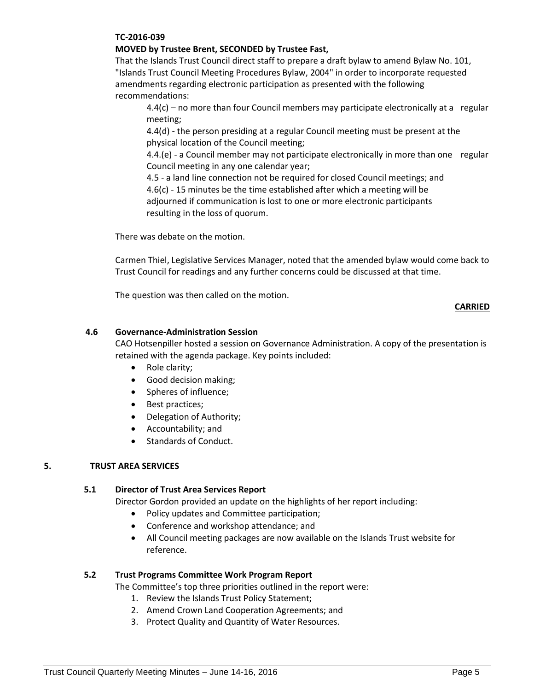## **TC-2016-039**

## **MOVED by Trustee Brent, SECONDED by Trustee Fast,**

That the Islands Trust Council direct staff to prepare a draft bylaw to amend Bylaw No. 101, "Islands Trust Council Meeting Procedures Bylaw, 2004" in order to incorporate requested amendments regarding electronic participation as presented with the following recommendations:

4.4(c) – no more than four Council members may participate electronically at a regular meeting;

4.4(d) - the person presiding at a regular Council meeting must be present at the physical location of the Council meeting;

4.4.(e) - a Council member may not participate electronically in more than one regular Council meeting in any one calendar year;

4.5 - a land line connection not be required for closed Council meetings; and 4.6(c) - 15 minutes be the time established after which a meeting will be adjourned if communication is lost to one or more electronic participants resulting in the loss of quorum.

There was debate on the motion.

Carmen Thiel, Legislative Services Manager, noted that the amended bylaw would come back to Trust Council for readings and any further concerns could be discussed at that time.

The question was then called on the motion.

## **CARRIED**

## **4.6 Governance-Administration Session**

CAO Hotsenpiller hosted a session on Governance Administration. A copy of the presentation is retained with the agenda package. Key points included:

- Role clarity;
- Good decision making;
- Spheres of influence;
- Best practices;
- Delegation of Authority;
- Accountability; and
- Standards of Conduct.

## **5. TRUST AREA SERVICES**

#### **5.1 Director of Trust Area Services Report**

Director Gordon provided an update on the highlights of her report including:

- Policy updates and Committee participation;
- Conference and workshop attendance; and
- All Council meeting packages are now available on the Islands Trust website for reference.

#### **5.2 Trust Programs Committee Work Program Report**

The Committee's top three priorities outlined in the report were:

- 1. Review the Islands Trust Policy Statement;
- 2. Amend Crown Land Cooperation Agreements; and
- 3. Protect Quality and Quantity of Water Resources.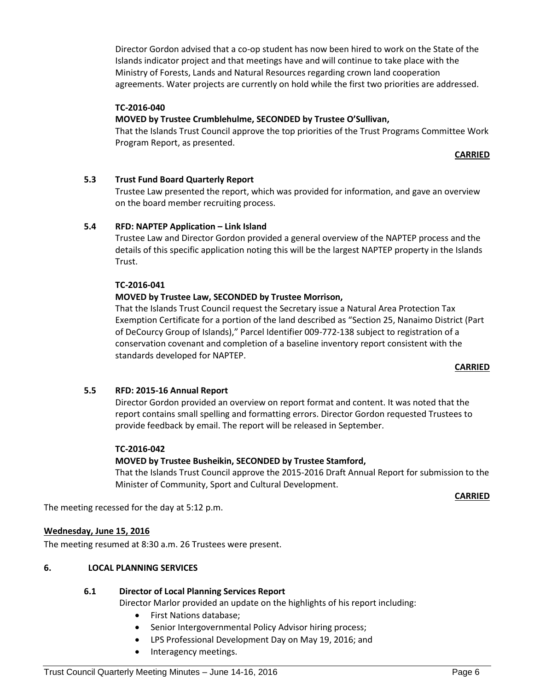Director Gordon advised that a co-op student has now been hired to work on the State of the Islands indicator project and that meetings have and will continue to take place with the Ministry of Forests, Lands and Natural Resources regarding crown land cooperation agreements. Water projects are currently on hold while the first two priorities are addressed.

## **TC-2016-040**

## **MOVED by Trustee Crumblehulme, SECONDED by Trustee O'Sullivan,**

That the Islands Trust Council approve the top priorities of the Trust Programs Committee Work Program Report, as presented.

#### **CARRIED**

## **5.3 Trust Fund Board Quarterly Report**

Trustee Law presented the report, which was provided for information, and gave an overview on the board member recruiting process.

#### **5.4 RFD: NAPTEP Application – Link Island**

Trustee Law and Director Gordon provided a general overview of the NAPTEP process and the details of this specific application noting this will be the largest NAPTEP property in the Islands Trust.

#### **TC-2016-041**

## **MOVED by Trustee Law, SECONDED by Trustee Morrison,**

That the Islands Trust Council request the Secretary issue a Natural Area Protection Tax Exemption Certificate for a portion of the land described as "Section 25, Nanaimo District (Part of DeCourcy Group of Islands)," Parcel Identifier 009-772-138 subject to registration of a conservation covenant and completion of a baseline inventory report consistent with the standards developed for NAPTEP.

#### **CARRIED**

#### **5.5 RFD: 2015-16 Annual Report**

Director Gordon provided an overview on report format and content. It was noted that the report contains small spelling and formatting errors. Director Gordon requested Trustees to provide feedback by email. The report will be released in September.

#### **TC-2016-042**

#### **MOVED by Trustee Busheikin, SECONDED by Trustee Stamford,**

That the Islands Trust Council approve the 2015-2016 Draft Annual Report for submission to the Minister of Community, Sport and Cultural Development.

**CARRIED**

The meeting recessed for the day at 5:12 p.m.

#### **Wednesday, June 15, 2016**

The meeting resumed at 8:30 a.m. 26 Trustees were present.

#### **6. LOCAL PLANNING SERVICES**

## **6.1 Director of Local Planning Services Report**

Director Marlor provided an update on the highlights of his report including:

- First Nations database;
- Senior Intergovernmental Policy Advisor hiring process;
- LPS Professional Development Day on May 19, 2016; and
- Interagency meetings.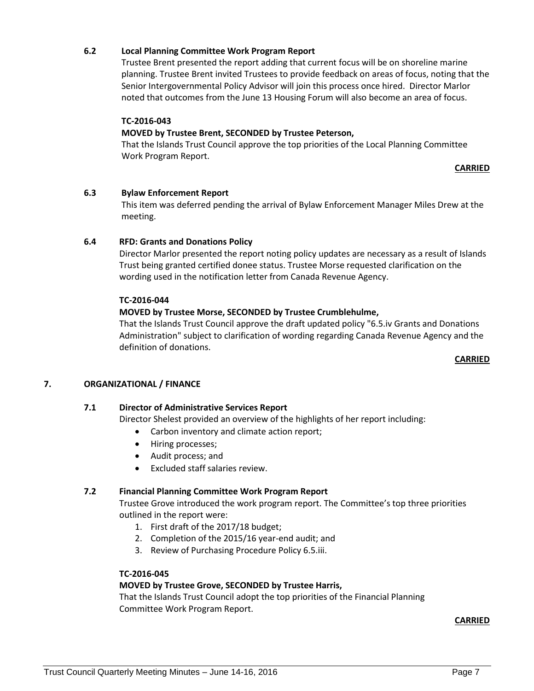## **6.2 Local Planning Committee Work Program Report**

Trustee Brent presented the report adding that current focus will be on shoreline marine planning. Trustee Brent invited Trustees to provide feedback on areas of focus, noting that the Senior Intergovernmental Policy Advisor will join this process once hired. Director Marlor noted that outcomes from the June 13 Housing Forum will also become an area of focus.

## **TC-2016-043**

#### **MOVED by Trustee Brent, SECONDED by Trustee Peterson,**

That the Islands Trust Council approve the top priorities of the Local Planning Committee Work Program Report.

#### **CARRIED**

#### **6.3 Bylaw Enforcement Report**

This item was deferred pending the arrival of Bylaw Enforcement Manager Miles Drew at the meeting.

#### **6.4 RFD: Grants and Donations Policy**

Director Marlor presented the report noting policy updates are necessary as a result of Islands Trust being granted certified donee status. Trustee Morse requested clarification on the wording used in the notification letter from Canada Revenue Agency.

#### **TC-2016-044**

## **MOVED by Trustee Morse, SECONDED by Trustee Crumblehulme,**

That the Islands Trust Council approve the draft updated policy "6.5.iv Grants and Donations Administration" subject to clarification of wording regarding Canada Revenue Agency and the definition of donations.

#### **CARRIED**

#### **7. ORGANIZATIONAL / FINANCE**

#### **7.1 Director of Administrative Services Report**

Director Shelest provided an overview of the highlights of her report including:

- Carbon inventory and climate action report;
- Hiring processes;
- Audit process; and
- Excluded staff salaries review.

#### **7.2 Financial Planning Committee Work Program Report**

Trustee Grove introduced the work program report. The Committee's top three priorities outlined in the report were:

- 1. First draft of the 2017/18 budget;
- 2. Completion of the 2015/16 year-end audit; and
- 3. Review of Purchasing Procedure Policy 6.5.iii.

#### **TC-2016-045**

#### **MOVED by Trustee Grove, SECONDED by Trustee Harris,**

That the Islands Trust Council adopt the top priorities of the Financial Planning Committee Work Program Report.

**CARRIED**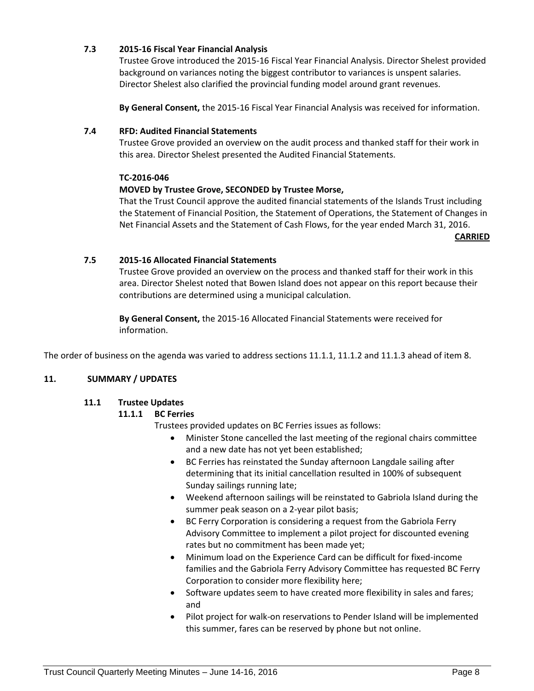## **7.3 2015-16 Fiscal Year Financial Analysis**

Trustee Grove introduced the 2015-16 Fiscal Year Financial Analysis. Director Shelest provided background on variances noting the biggest contributor to variances is unspent salaries. Director Shelest also clarified the provincial funding model around grant revenues.

**By General Consent,** the 2015-16 Fiscal Year Financial Analysis was received for information.

#### **7.4 RFD: Audited Financial Statements**

Trustee Grove provided an overview on the audit process and thanked staff for their work in this area. Director Shelest presented the Audited Financial Statements.

#### **TC-2016-046**

## **MOVED by Trustee Grove, SECONDED by Trustee Morse,**

That the Trust Council approve the audited financial statements of the Islands Trust including the Statement of Financial Position, the Statement of Operations, the Statement of Changes in Net Financial Assets and the Statement of Cash Flows, for the year ended March 31, 2016.

**CARRIED**

## **7.5 2015-16 Allocated Financial Statements**

Trustee Grove provided an overview on the process and thanked staff for their work in this area. Director Shelest noted that Bowen Island does not appear on this report because their contributions are determined using a municipal calculation.

**By General Consent,** the 2015-16 Allocated Financial Statements were received for information.

The order of business on the agenda was varied to address sections 11.1.1, 11.1.2 and 11.1.3 ahead of item 8.

#### **11. SUMMARY / UPDATES**

## **11.1 Trustee Updates**

#### **11.1.1 BC Ferries**

Trustees provided updates on BC Ferries issues as follows:

- Minister Stone cancelled the last meeting of the regional chairs committee and a new date has not yet been established;
- BC Ferries has reinstated the Sunday afternoon Langdale sailing after determining that its initial cancellation resulted in 100% of subsequent Sunday sailings running late;
- Weekend afternoon sailings will be reinstated to Gabriola Island during the summer peak season on a 2-year pilot basis;
- BC Ferry Corporation is considering a request from the Gabriola Ferry Advisory Committee to implement a pilot project for discounted evening rates but no commitment has been made yet;
- Minimum load on the Experience Card can be difficult for fixed-income families and the Gabriola Ferry Advisory Committee has requested BC Ferry Corporation to consider more flexibility here;
- Software updates seem to have created more flexibility in sales and fares; and
- Pilot project for walk-on reservations to Pender Island will be implemented this summer, fares can be reserved by phone but not online.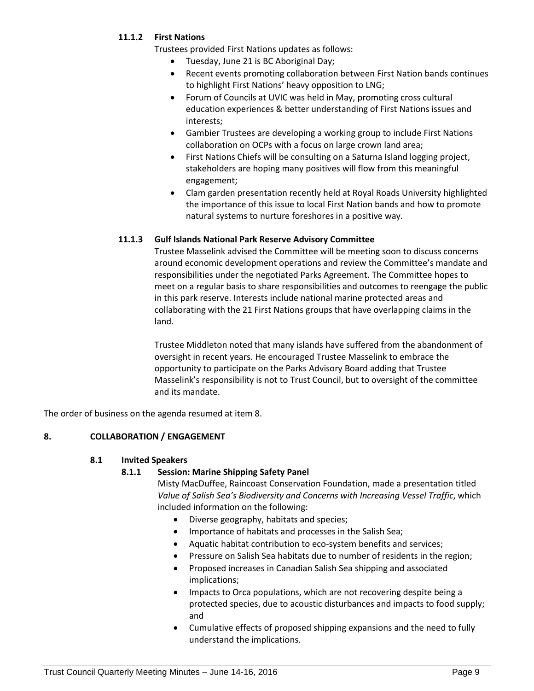## **11.1.2 First Nations**

Trustees provided First Nations updates as follows:

- Tuesday, June 21 is BC Aboriginal Day;
- Recent events promoting collaboration between First Nation bands continues to highlight First Nations' heavy opposition to LNG;
- Forum of Councils at UVIC was held in May, promoting cross cultural education experiences & better understanding of First Nations issues and interests;
- Gambier Trustees are developing a working group to include First Nations collaboration on OCPs with a focus on large crown land area;
- First Nations Chiefs will be consulting on a Saturna Island logging project, stakeholders are hoping many positives will flow from this meaningful engagement;
- Clam garden presentation recently held at Royal Roads University highlighted the importance of this issue to local First Nation bands and how to promote natural systems to nurture foreshores in a positive way.

## **11.1.3 Gulf Islands National Park Reserve Advisory Committee**

Trustee Masselink advised the Committee will be meeting soon to discuss concerns around economic development operations and review the Committee's mandate and responsibilities under the negotiated Parks Agreement. The Committee hopes to meet on a regular basis to share responsibilities and outcomes to reengage the public in this park reserve. Interests include national marine protected areas and collaborating with the 21 First Nations groups that have overlapping claims in the land.

Trustee Middleton noted that many islands have suffered from the abandonment of oversight in recent years. He encouraged Trustee Masselink to embrace the opportunity to participate on the Parks Advisory Board adding that Trustee Masselink's responsibility is not to Trust Council, but to oversight of the committee and its mandate.

The order of business on the agenda resumed at item 8.

## **8. COLLABORATION / ENGAGEMENT**

#### **8.1 Invited Speakers**

## **8.1.1 Session: Marine Shipping Safety Panel**

Misty MacDuffee, Raincoast Conservation Foundation, made a presentation titled *Value of Salish Sea's Biodiversity and Concerns with Increasing Vessel Traffic*, which included information on the following:

- Diverse geography, habitats and species;
- Importance of habitats and processes in the Salish Sea;
- Aquatic habitat contribution to eco-system benefits and services;
- Pressure on Salish Sea habitats due to number of residents in the region;
- Proposed increases in Canadian Salish Sea shipping and associated implications;
- Impacts to Orca populations, which are not recovering despite being a protected species, due to acoustic disturbances and impacts to food supply; and
- Cumulative effects of proposed shipping expansions and the need to fully understand the implications.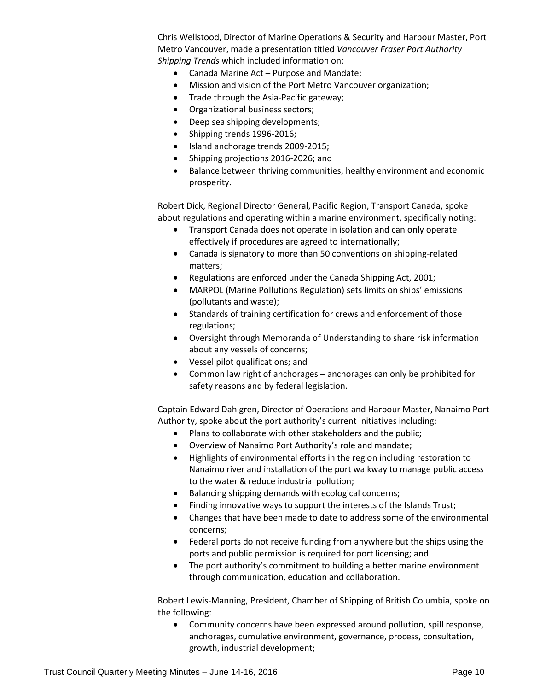Chris Wellstood, Director of Marine Operations & Security and Harbour Master, Port Metro Vancouver, made a presentation titled *Vancouver Fraser Port Authority Shipping Trends* which included information on:

- Canada Marine Act Purpose and Mandate;
- Mission and vision of the Port Metro Vancouver organization;
- Trade through the Asia-Pacific gateway;
- Organizational business sectors;
- Deep sea shipping developments;
- Shipping trends 1996-2016;
- Island anchorage trends 2009-2015;
- Shipping projections 2016-2026; and
- Balance between thriving communities, healthy environment and economic prosperity.

Robert Dick, Regional Director General, Pacific Region, Transport Canada, spoke about regulations and operating within a marine environment, specifically noting:

- Transport Canada does not operate in isolation and can only operate effectively if procedures are agreed to internationally;
- Canada is signatory to more than 50 conventions on shipping-related matters;
- Regulations are enforced under the Canada Shipping Act, 2001;
- MARPOL (Marine Pollutions Regulation) sets limits on ships' emissions (pollutants and waste);
- Standards of training certification for crews and enforcement of those regulations;
- Oversight through Memoranda of Understanding to share risk information about any vessels of concerns;
- Vessel pilot qualifications; and
- Common law right of anchorages anchorages can only be prohibited for safety reasons and by federal legislation.

Captain Edward Dahlgren, Director of Operations and Harbour Master, Nanaimo Port Authority, spoke about the port authority's current initiatives including:

- Plans to collaborate with other stakeholders and the public;
- Overview of Nanaimo Port Authority's role and mandate;
- Highlights of environmental efforts in the region including restoration to Nanaimo river and installation of the port walkway to manage public access to the water & reduce industrial pollution;
- Balancing shipping demands with ecological concerns;
- Finding innovative ways to support the interests of the Islands Trust;
- Changes that have been made to date to address some of the environmental concerns;
- Federal ports do not receive funding from anywhere but the ships using the ports and public permission is required for port licensing; and
- The port authority's commitment to building a better marine environment through communication, education and collaboration.

Robert Lewis-Manning, President, Chamber of Shipping of British Columbia, spoke on the following:

 Community concerns have been expressed around pollution, spill response, anchorages, cumulative environment, governance, process, consultation, growth, industrial development;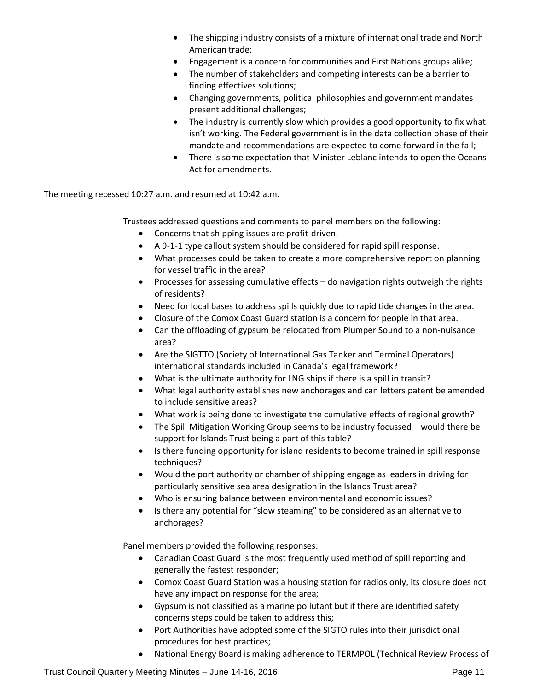- The shipping industry consists of a mixture of international trade and North American trade;
- Engagement is a concern for communities and First Nations groups alike;
- The number of stakeholders and competing interests can be a barrier to finding effectives solutions;
- Changing governments, political philosophies and government mandates present additional challenges;
- The industry is currently slow which provides a good opportunity to fix what isn't working. The Federal government is in the data collection phase of their mandate and recommendations are expected to come forward in the fall;
- There is some expectation that Minister Leblanc intends to open the Oceans Act for amendments.

The meeting recessed 10:27 a.m. and resumed at 10:42 a.m.

Trustees addressed questions and comments to panel members on the following:

- Concerns that shipping issues are profit-driven.
- A 9-1-1 type callout system should be considered for rapid spill response.
- What processes could be taken to create a more comprehensive report on planning for vessel traffic in the area?
- Processes for assessing cumulative effects do navigation rights outweigh the rights of residents?
- Need for local bases to address spills quickly due to rapid tide changes in the area.
- Closure of the Comox Coast Guard station is a concern for people in that area.
- Can the offloading of gypsum be relocated from Plumper Sound to a non-nuisance area?
- Are the SIGTTO (Society of International Gas Tanker and Terminal Operators) international standards included in Canada's legal framework?
- What is the ultimate authority for LNG ships if there is a spill in transit?
- What legal authority establishes new anchorages and can letters patent be amended to include sensitive areas?
- What work is being done to investigate the cumulative effects of regional growth?
- The Spill Mitigation Working Group seems to be industry focussed would there be support for Islands Trust being a part of this table?
- Is there funding opportunity for island residents to become trained in spill response techniques?
- Would the port authority or chamber of shipping engage as leaders in driving for particularly sensitive sea area designation in the Islands Trust area?
- Who is ensuring balance between environmental and economic issues?
- Is there any potential for "slow steaming" to be considered as an alternative to anchorages?

Panel members provided the following responses:

- Canadian Coast Guard is the most frequently used method of spill reporting and generally the fastest responder;
- Comox Coast Guard Station was a housing station for radios only, its closure does not have any impact on response for the area;
- Gypsum is not classified as a marine pollutant but if there are identified safety concerns steps could be taken to address this;
- Port Authorities have adopted some of the SIGTO rules into their jurisdictional procedures for best practices;
- National Energy Board is making adherence to TERMPOL (Technical Review Process of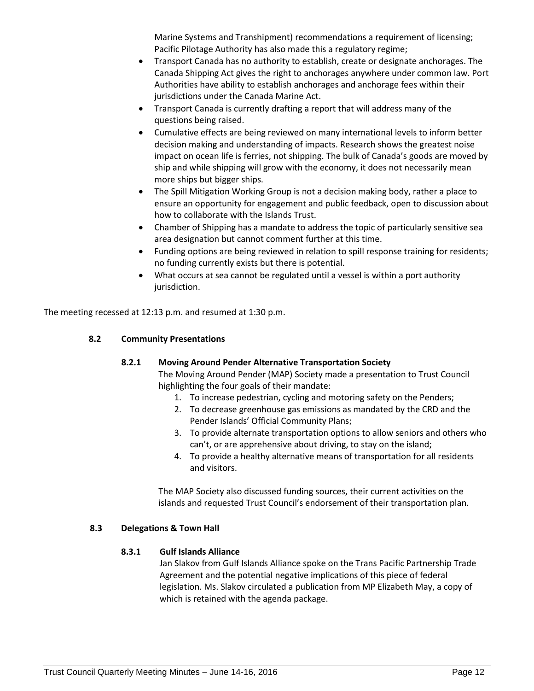Marine Systems and Transhipment) recommendations a requirement of licensing; Pacific Pilotage Authority has also made this a regulatory regime;

- Transport Canada has no authority to establish, create or designate anchorages. The Canada Shipping Act gives the right to anchorages anywhere under common law. Port Authorities have ability to establish anchorages and anchorage fees within their jurisdictions under the Canada Marine Act.
- Transport Canada is currently drafting a report that will address many of the questions being raised.
- Cumulative effects are being reviewed on many international levels to inform better decision making and understanding of impacts. Research shows the greatest noise impact on ocean life is ferries, not shipping. The bulk of Canada's goods are moved by ship and while shipping will grow with the economy, it does not necessarily mean more ships but bigger ships.
- The Spill Mitigation Working Group is not a decision making body, rather a place to ensure an opportunity for engagement and public feedback, open to discussion about how to collaborate with the Islands Trust.
- Chamber of Shipping has a mandate to address the topic of particularly sensitive sea area designation but cannot comment further at this time.
- Funding options are being reviewed in relation to spill response training for residents; no funding currently exists but there is potential.
- What occurs at sea cannot be regulated until a vessel is within a port authority jurisdiction.

The meeting recessed at 12:13 p.m. and resumed at 1:30 p.m.

## **8.2 Community Presentations**

## **8.2.1 Moving Around Pender Alternative Transportation Society**

The Moving Around Pender (MAP) Society made a presentation to Trust Council highlighting the four goals of their mandate:

- 1. To increase pedestrian, cycling and motoring safety on the Penders;
- 2. To decrease greenhouse gas emissions as mandated by the CRD and the Pender Islands' Official Community Plans;
- 3. To provide alternate transportation options to allow seniors and others who can't, or are apprehensive about driving, to stay on the island;
- 4. To provide a healthy alternative means of transportation for all residents and visitors.

The MAP Society also discussed funding sources, their current activities on the islands and requested Trust Council's endorsement of their transportation plan.

## **8.3 Delegations & Town Hall**

## **8.3.1 Gulf Islands Alliance**

Jan Slakov from Gulf Islands Alliance spoke on the Trans Pacific Partnership Trade Agreement and the potential negative implications of this piece of federal legislation. Ms. Slakov circulated a publication from MP Elizabeth May, a copy of which is retained with the agenda package.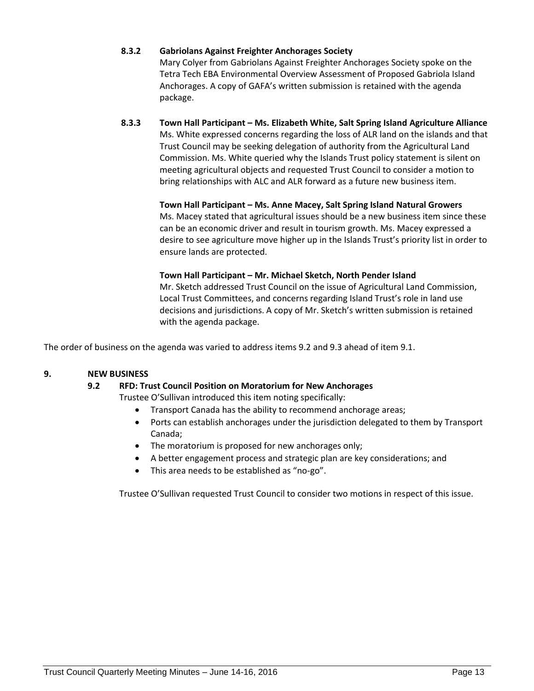## **8.3.2 Gabriolans Against Freighter Anchorages Society**

Mary Colyer from Gabriolans Against Freighter Anchorages Society spoke on the Tetra Tech EBA Environmental Overview Assessment of Proposed Gabriola Island Anchorages. A copy of GAFA's written submission is retained with the agenda package.

## **8.3.3 Town Hall Participant – Ms. Elizabeth White, Salt Spring Island Agriculture Alliance** Ms. White expressed concerns regarding the loss of ALR land on the islands and that Trust Council may be seeking delegation of authority from the Agricultural Land Commission. Ms. White queried why the Islands Trust policy statement is silent on meeting agricultural objects and requested Trust Council to consider a motion to bring relationships with ALC and ALR forward as a future new business item.

**Town Hall Participant – Ms. Anne Macey, Salt Spring Island Natural Growers** Ms. Macey stated that agricultural issues should be a new business item since these can be an economic driver and result in tourism growth. Ms. Macey expressed a desire to see agriculture move higher up in the Islands Trust's priority list in order to ensure lands are protected.

## **Town Hall Participant – Mr. Michael Sketch, North Pender Island**

Mr. Sketch addressed Trust Council on the issue of Agricultural Land Commission, Local Trust Committees, and concerns regarding Island Trust's role in land use decisions and jurisdictions. A copy of Mr. Sketch's written submission is retained with the agenda package.

The order of business on the agenda was varied to address items 9.2 and 9.3 ahead of item 9.1.

## **9. NEW BUSINESS**

## **9.2 RFD: Trust Council Position on Moratorium for New Anchorages**

Trustee O'Sullivan introduced this item noting specifically:

- Transport Canada has the ability to recommend anchorage areas;
- Ports can establish anchorages under the jurisdiction delegated to them by Transport Canada;
- The moratorium is proposed for new anchorages only;
- A better engagement process and strategic plan are key considerations; and
- This area needs to be established as "no-go".

Trustee O'Sullivan requested Trust Council to consider two motions in respect of this issue.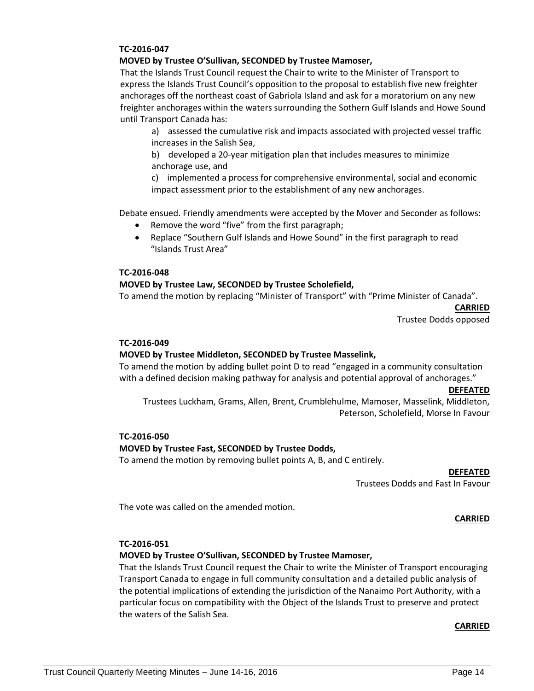#### **TC-2016-047**

#### **MOVED by Trustee O'Sullivan, SECONDED by Trustee Mamoser,**

That the Islands Trust Council request the Chair to write to the Minister of Transport to express the Islands Trust Council's opposition to the proposal to establish five new freighter anchorages off the northeast coast of Gabriola Island and ask for a moratorium on any new freighter anchorages within the waters surrounding the Sothern Gulf Islands and Howe Sound until Transport Canada has:

a) assessed the cumulative risk and impacts associated with projected vessel traffic increases in the Salish Sea,

b) developed a 20-year mitigation plan that includes measures to minimize anchorage use, and

c) implemented a process for comprehensive environmental, social and economic impact assessment prior to the establishment of any new anchorages.

Debate ensued. Friendly amendments were accepted by the Mover and Seconder as follows:

- Remove the word "five" from the first paragraph;
- Replace "Southern Gulf Islands and Howe Sound" in the first paragraph to read "Islands Trust Area"

#### **TC-2016-048**

#### **MOVED by Trustee Law, SECONDED by Trustee Scholefield,**

To amend the motion by replacing "Minister of Transport" with "Prime Minister of Canada".

**CARRIED**

Trustee Dodds opposed

#### **TC-2016-049**

#### **MOVED by Trustee Middleton, SECONDED by Trustee Masselink,**

To amend the motion by adding bullet point D to read "engaged in a community consultation with a defined decision making pathway for analysis and potential approval of anchorages."

#### **DEFEATED**

Trustees Luckham, Grams, Allen, Brent, Crumblehulme, Mamoser, Masselink, Middleton, Peterson, Scholefield, Morse In Favour

#### **TC-2016-050**

#### **MOVED by Trustee Fast, SECONDED by Trustee Dodds,**

To amend the motion by removing bullet points A, B, and C entirely.

#### **DEFEATED**

Trustees Dodds and Fast In Favour

The vote was called on the amended motion.

#### **CARRIED**

#### **TC-2016-051**

#### **MOVED by Trustee O'Sullivan, SECONDED by Trustee Mamoser,**

That the Islands Trust Council request the Chair to write the Minister of Transport encouraging Transport Canada to engage in full community consultation and a detailed public analysis of the potential implications of extending the jurisdiction of the Nanaimo Port Authority, with a particular focus on compatibility with the Object of the Islands Trust to preserve and protect the waters of the Salish Sea.

#### **CARRIED**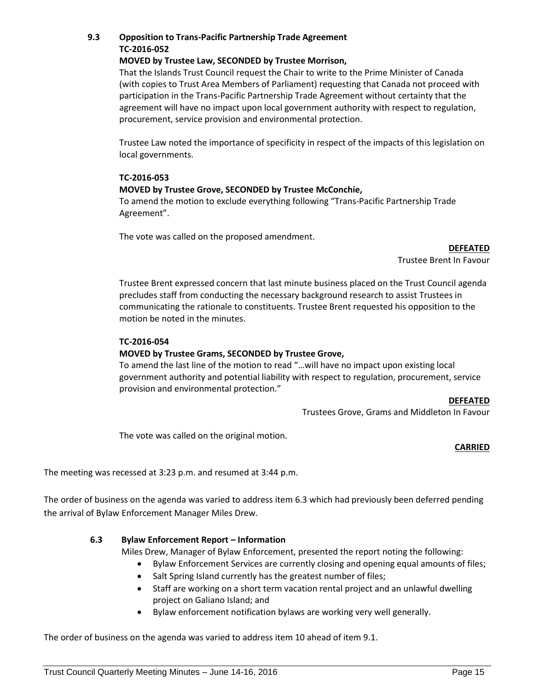## **9.3 Opposition to Trans-Pacific Partnership Trade Agreement TC-2016-052**

#### **MOVED by Trustee Law, SECONDED by Trustee Morrison,**

That the Islands Trust Council request the Chair to write to the Prime Minister of Canada (with copies to Trust Area Members of Parliament) requesting that Canada not proceed with participation in the Trans-Pacific Partnership Trade Agreement without certainty that the agreement will have no impact upon local government authority with respect to regulation, procurement, service provision and environmental protection.

Trustee Law noted the importance of specificity in respect of the impacts of this legislation on local governments.

## **TC-2016-053**

## **MOVED by Trustee Grove, SECONDED by Trustee McConchie,**

To amend the motion to exclude everything following "Trans-Pacific Partnership Trade Agreement".

The vote was called on the proposed amendment.

**DEFEATED**

Trustee Brent In Favour

Trustee Brent expressed concern that last minute business placed on the Trust Council agenda precludes staff from conducting the necessary background research to assist Trustees in communicating the rationale to constituents. Trustee Brent requested his opposition to the motion be noted in the minutes.

#### **TC-2016-054**

## **MOVED by Trustee Grams, SECONDED by Trustee Grove,**

To amend the last line of the motion to read "…will have no impact upon existing local government authority and potential liability with respect to regulation, procurement, service provision and environmental protection."

#### **DEFEATED**

Trustees Grove, Grams and Middleton In Favour

The vote was called on the original motion.

#### **CARRIED**

The meeting was recessed at 3:23 p.m. and resumed at 3:44 p.m.

The order of business on the agenda was varied to address item 6.3 which had previously been deferred pending the arrival of Bylaw Enforcement Manager Miles Drew.

## **6.3 Bylaw Enforcement Report – Information**

Miles Drew, Manager of Bylaw Enforcement, presented the report noting the following:

- Bylaw Enforcement Services are currently closing and opening equal amounts of files;
- Salt Spring Island currently has the greatest number of files;
- Staff are working on a short term vacation rental project and an unlawful dwelling project on Galiano Island; and
- Bylaw enforcement notification bylaws are working very well generally.

The order of business on the agenda was varied to address item 10 ahead of item 9.1.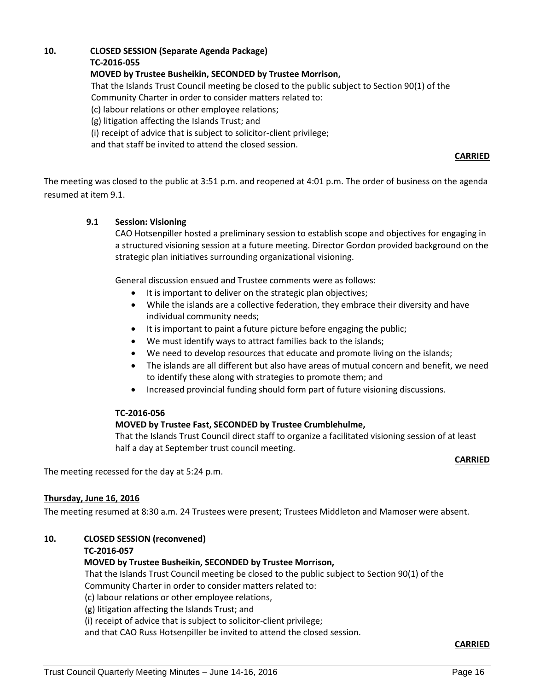## **10. CLOSED SESSION (Separate Agenda Package)**

**TC-2016-055**

**MOVED by Trustee Busheikin, SECONDED by Trustee Morrison,**

That the Islands Trust Council meeting be closed to the public subject to Section 90(1) of the

Community Charter in order to consider matters related to:

(c) labour relations or other employee relations;

(g) litigation affecting the Islands Trust; and

(i) receipt of advice that is subject to solicitor-client privilege;

and that staff be invited to attend the closed session.

## **CARRIED**

The meeting was closed to the public at 3:51 p.m. and reopened at 4:01 p.m. The order of business on the agenda resumed at item 9.1.

## **9.1 Session: Visioning**

CAO Hotsenpiller hosted a preliminary session to establish scope and objectives for engaging in a structured visioning session at a future meeting. Director Gordon provided background on the strategic plan initiatives surrounding organizational visioning.

General discussion ensued and Trustee comments were as follows:

- It is important to deliver on the strategic plan objectives;
- While the islands are a collective federation, they embrace their diversity and have individual community needs;
- It is important to paint a future picture before engaging the public;
- We must identify ways to attract families back to the islands;
- We need to develop resources that educate and promote living on the islands;
- The islands are all different but also have areas of mutual concern and benefit, we need to identify these along with strategies to promote them; and
- Increased provincial funding should form part of future visioning discussions.

## **TC-2016-056**

## **MOVED by Trustee Fast, SECONDED by Trustee Crumblehulme,**

That the Islands Trust Council direct staff to organize a facilitated visioning session of at least half a day at September trust council meeting.

#### **CARRIED**

The meeting recessed for the day at 5:24 p.m.

## **Thursday, June 16, 2016**

The meeting resumed at 8:30 a.m. 24 Trustees were present; Trustees Middleton and Mamoser were absent.

## **10. CLOSED SESSION (reconvened)**

## **TC-2016-057**

## **MOVED by Trustee Busheikin, SECONDED by Trustee Morrison,**

That the Islands Trust Council meeting be closed to the public subject to Section 90(1) of the Community Charter in order to consider matters related to:

(c) labour relations or other employee relations,

(g) litigation affecting the Islands Trust; and

(i) receipt of advice that is subject to solicitor-client privilege;

and that CAO Russ Hotsenpiller be invited to attend the closed session.

**CARRIED**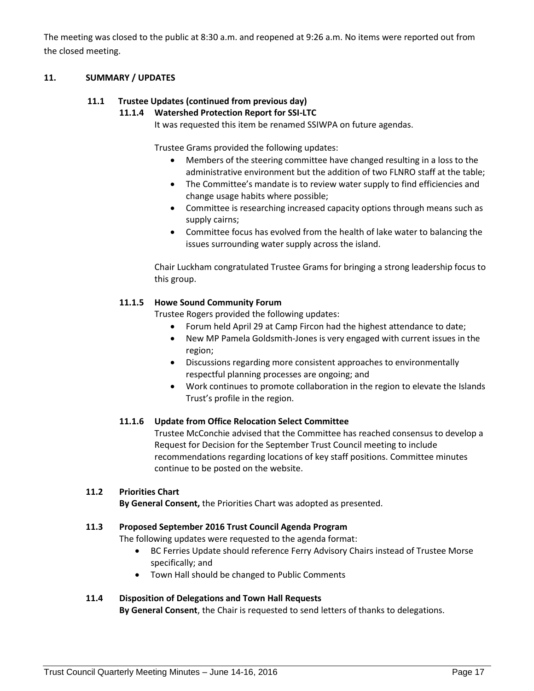The meeting was closed to the public at 8:30 a.m. and reopened at 9:26 a.m. No items were reported out from the closed meeting.

## **11. SUMMARY / UPDATES**

## **11.1 Trustee Updates (continued from previous day)**

## **11.1.4 Watershed Protection Report for SSI-LTC**

It was requested this item be renamed SSIWPA on future agendas.

Trustee Grams provided the following updates:

- Members of the steering committee have changed resulting in a loss to the administrative environment but the addition of two FLNRO staff at the table;
- The Committee's mandate is to review water supply to find efficiencies and change usage habits where possible;
- Committee is researching increased capacity options through means such as supply cairns;
- Committee focus has evolved from the health of lake water to balancing the issues surrounding water supply across the island.

Chair Luckham congratulated Trustee Grams for bringing a strong leadership focus to this group.

## **11.1.5 Howe Sound Community Forum**

Trustee Rogers provided the following updates:

- Forum held April 29 at Camp Fircon had the highest attendance to date;
- New MP Pamela Goldsmith-Jones is very engaged with current issues in the region;
- Discussions regarding more consistent approaches to environmentally respectful planning processes are ongoing; and
- Work continues to promote collaboration in the region to elevate the Islands Trust's profile in the region.

## **11.1.6 Update from Office Relocation Select Committee**

Trustee McConchie advised that the Committee has reached consensus to develop a Request for Decision for the September Trust Council meeting to include recommendations regarding locations of key staff positions. Committee minutes continue to be posted on the website.

## **11.2 Priorities Chart**

**By General Consent,** the Priorities Chart was adopted as presented.

## **11.3 Proposed September 2016 Trust Council Agenda Program**

The following updates were requested to the agenda format:

- BC Ferries Update should reference Ferry Advisory Chairs instead of Trustee Morse specifically; and
- Town Hall should be changed to Public Comments

## **11.4 Disposition of Delegations and Town Hall Requests**

**By General Consent**, the Chair is requested to send letters of thanks to delegations.